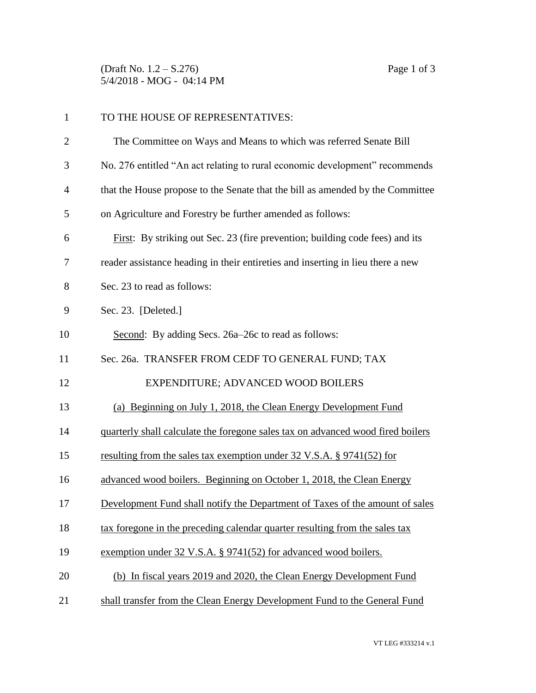(Draft No. 1.2 – S.276) Page 1 of 3 5/4/2018 - MOG - 04:14 PM

| $\mathbf{1}$   | TO THE HOUSE OF REPRESENTATIVES:                                                |  |
|----------------|---------------------------------------------------------------------------------|--|
| $\overline{c}$ | The Committee on Ways and Means to which was referred Senate Bill               |  |
| 3              | No. 276 entitled "An act relating to rural economic development" recommends     |  |
| 4              | that the House propose to the Senate that the bill as amended by the Committee  |  |
| 5              | on Agriculture and Forestry be further amended as follows:                      |  |
| 6              | First: By striking out Sec. 23 (fire prevention; building code fees) and its    |  |
| 7              | reader assistance heading in their entireties and inserting in lieu there a new |  |
| 8              | Sec. 23 to read as follows:                                                     |  |
| 9              | Sec. 23. [Deleted.]                                                             |  |
| 10             | Second: By adding Secs. 26a-26c to read as follows:                             |  |
| 11             | Sec. 26a. TRANSFER FROM CEDF TO GENERAL FUND; TAX                               |  |
| 12             | EXPENDITURE; ADVANCED WOOD BOILERS                                              |  |
| 13             | (a) Beginning on July 1, 2018, the Clean Energy Development Fund                |  |
| 14             | quarterly shall calculate the foregone sales tax on advanced wood fired boilers |  |
| 15             | resulting from the sales tax exemption under 32 V.S.A. § 9741(52) for           |  |
| 16             | advanced wood boilers. Beginning on October 1, 2018, the Clean Energy           |  |
| 17             | Development Fund shall notify the Department of Taxes of the amount of sales    |  |
| 18             | tax foregone in the preceding calendar quarter resulting from the sales tax     |  |
| 19             | exemption under 32 V.S.A. § 9741(52) for advanced wood boilers.                 |  |
| 20             | (b) In fiscal years 2019 and 2020, the Clean Energy Development Fund            |  |
| 21             | shall transfer from the Clean Energy Development Fund to the General Fund       |  |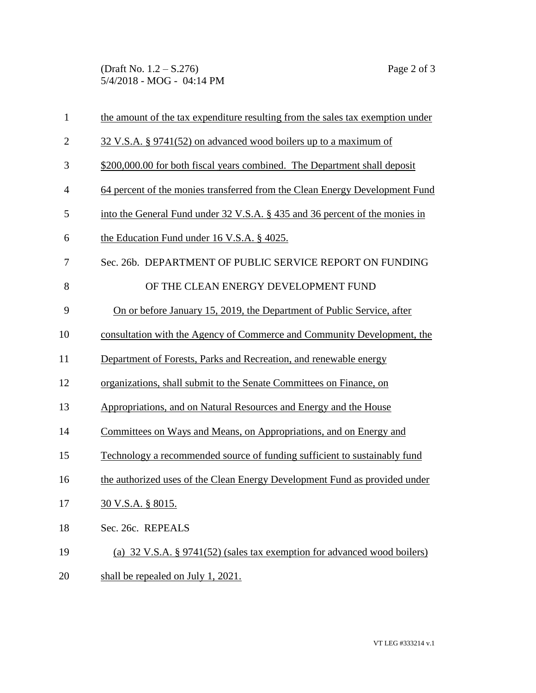(Draft No. 1.2 – S.276) Page 2 of 3 5/4/2018 - MOG - 04:14 PM

| $\mathbf{1}$   | the amount of the tax expenditure resulting from the sales tax exemption under |  |  |
|----------------|--------------------------------------------------------------------------------|--|--|
| $\mathbf{2}$   | 32 V.S.A. § 9741(52) on advanced wood boilers up to a maximum of               |  |  |
| 3              | \$200,000.00 for both fiscal years combined. The Department shall deposit      |  |  |
| $\overline{4}$ | 64 percent of the monies transferred from the Clean Energy Development Fund    |  |  |
| 5              | into the General Fund under 32 V.S.A. § 435 and 36 percent of the monies in    |  |  |
| 6              | the Education Fund under 16 V.S.A. § 4025.                                     |  |  |
| 7              | Sec. 26b. DEPARTMENT OF PUBLIC SERVICE REPORT ON FUNDING                       |  |  |
| 8              | OF THE CLEAN ENERGY DEVELOPMENT FUND                                           |  |  |
| 9              | On or before January 15, 2019, the Department of Public Service, after         |  |  |
| 10             | consultation with the Agency of Commerce and Community Development, the        |  |  |
| 11             | Department of Forests, Parks and Recreation, and renewable energy              |  |  |
| 12             | organizations, shall submit to the Senate Committees on Finance, on            |  |  |
| 13             | Appropriations, and on Natural Resources and Energy and the House              |  |  |
| 14             | Committees on Ways and Means, on Appropriations, and on Energy and             |  |  |
| 15             | Technology a recommended source of funding sufficient to sustainably fund      |  |  |
| 16             | the authorized uses of the Clean Energy Development Fund as provided under     |  |  |
| 17             | 30 V.S.A. § 8015.                                                              |  |  |
| 18             | Sec. 26c. REPEALS                                                              |  |  |
| 19             | (a) 32 V.S.A. § 9741(52) (sales tax exemption for advanced wood boilers)       |  |  |
| 20             | shall be repealed on July 1, 2021.                                             |  |  |